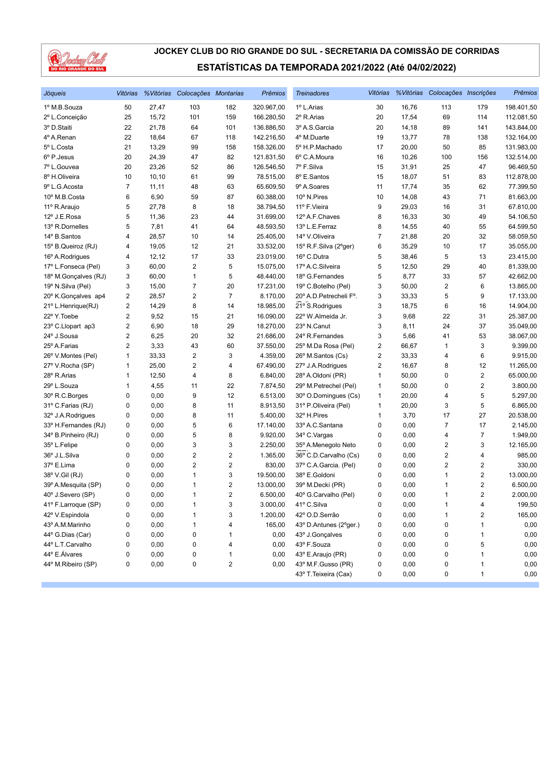

| Jóqueis              | Vitórias |        | % Vitórias Colocações Montarias |                         | <b>Prêmios</b> | <b>Treinadores</b>      | Vitórias                |       | %Vitórias Colocações Inscrições |                         | <b>Prêmios</b> |
|----------------------|----------|--------|---------------------------------|-------------------------|----------------|-------------------------|-------------------------|-------|---------------------------------|-------------------------|----------------|
| 1º M.B.Souza         | 50       | 27,47  | 103                             | 182                     | 320.967,00     | 1º L.Arias              | 30                      | 16,76 | 113                             | 179                     | 198.401,50     |
| 2º L.Conceição       | 25       | 15,72  | 101                             | 159                     | 166.280,50     | 2º R.Arias              | 20                      | 17,54 | 69                              | 114                     | 112.081,50     |
| 3º D.Staiti          | 22       | 21,78  | 64                              | 101                     | 136.886,50     | 3º A.S. Garcia          | 20                      | 14,18 | 89                              | 141                     | 143.844,00     |
| 4º A.Renan           | 22       | 18,64  | 67                              | 118                     | 142.216,50     | 4º M.Duarte             | 19                      | 13,77 | 78                              | 138                     | 132.164,00     |
| 5º L.Costa           | 21       | 13,29  | 99                              | 158                     | 158.326,00     | 5º H.P.Machado          | 17                      | 20,00 | 50                              | 85                      | 131.983,00     |
| 6º P.Jesus           | 20       | 24,39  | 47                              | 82                      | 121.831,50     | 6° C.A.Moura            | 16                      | 10,26 | 100                             | 156                     | 132.514,00     |
| 7º L.Gouvea          | 20       | 23,26  | 52                              | 86                      | 126.546,50     | 7º F.Silva              | 15                      | 31,91 | 25                              | 47                      | 96.469,50      |
| 8º H.Oliveira        | 10       | 10, 10 | 61                              | 99                      | 78.515,00      | 8º E.Santos             | 15                      | 18,07 | 51                              | 83                      | 112.878,00     |
| 9º L.G. Acosta       | 7        | 11,11  | 48                              | 63                      | 65.609,50      | 9º A.Soares             | 11                      | 17,74 | 35                              | 62                      | 77.399,50      |
| 10° M.B.Costa        | 6        | 6,90   | 59                              | 87                      | 60.388,00      | 10° N.Pires             | 10                      | 14,08 | 43                              | 71                      | 81.663,00      |
| 11º R.Araujo         | 5        | 27,78  | 8                               | 18                      | 38.794,50      | 11º F.Vieira            | 9                       | 29,03 | 16                              | 31                      | 67.810,00      |
| 12º J.E.Rosa         | 5        | 11,36  | 23                              | 44                      | 31.699,00      | 12º A.F.Chaves          | 8                       | 16,33 | 30                              | 49                      | 54.106,50      |
| 13º R.Dornelles      | 5        | 7,81   | 41                              | 64                      | 48.593,50      | 13º L.E.Ferraz          | 8                       | 14,55 | 40                              | 55                      | 64.599,50      |
| 14º B.Santos         | 4        | 28,57  | 10                              | 14                      | 25.405,00      | 14º V.Oliveira          | 7                       | 21,88 | 20                              | 32                      | 58.059,50      |
| 15° B.Queiroz (RJ)   | 4        | 19,05  | 12                              | 21                      | 33.532,00      | 15° R.F.Silva (2°ger)   | 6                       | 35,29 | 10                              | 17                      | 35.055,00      |
| 16° A.Rodrigues      | 4        | 12, 12 | 17                              | 33                      | 23.019,00      | 16° C.Dutra             | 5                       | 38,46 | 5                               | 13                      | 23.415,00      |
| 17º L.Fonseca (Pel)  | 3        | 60,00  | $\overline{2}$                  | 5                       | 15.075,00      | 17º A.C.Silveira        | 5                       | 12,50 | 29                              | 40                      | 81.339,00      |
| 18º M.Gonçalves (RJ) | 3        | 60,00  | $\mathbf{1}$                    | 5                       | 48.440,00      | 18º G.Fernandes         | 5                       | 8,77  | 33                              | 57                      | 42.662,00      |
| 19º N.Silva (Pel)    | 3        | 15,00  | $\boldsymbol{7}$                | 20                      | 17.231,00      | 19° C.Botelho (Pel)     | 3                       | 50,00 | $\overline{\mathbf{c}}$         | 6                       | 13.865,00      |
| 20° K.Gonçalves ap4  | 2        | 28,57  | $\overline{c}$                  | 7                       | 8.170,00       | 20° A.D. Petrecheli F°. | 3                       | 33,33 | 5                               | 9                       | 17.133,00      |
| 21º L.Henrique(RJ)   | 2        | 14,29  | 8                               | 14                      | 18.985,00      | 21° S.Rodrigues         | 3                       | 18,75 | 6                               | 16                      | 14.904,00      |
| 22º Y.Toebe          | 2        | 9,52   | 15                              | 21                      | 16.090,00      | 22° W.Almeida Jr.       | 3                       | 9,68  | 22                              | 31                      | 25.387,00      |
| 23° C.Llopart ap3    | 2        | 6,90   | 18                              | 29                      | 18.270,00      | 23º N.Canut             | 3                       | 8,11  | 24                              | 37                      | 35.049,00      |
| 24° J.Sousa          | 2        | 6,25   | 20                              | 32                      | 21.686,00      | 24° R.Fernandes         | 3                       | 5,66  | 41                              | 53                      | 38.067,00      |
| 25° A.Farias         | 2        | 3,33   | 43                              | 60                      | 37.550,00      | 25° M.Da Rosa (Pel)     | 2                       | 66,67 | 1                               | 3                       | 9.399,00       |
| 26° V.Montes (Pel)   | 1        | 33,33  | $\overline{c}$                  | 3                       | 4.359,00       | 26° M.Santos (Cs)       | $\overline{\mathbf{c}}$ | 33,33 | 4                               | 6                       | 9.915,00       |
| 27º V.Rocha (SP)     | 1        | 25,00  | $\overline{\mathbf{c}}$         | 4                       | 67.490,00      | 27° J.A.Rodrigues       | 2                       | 16,67 | 8                               | 12                      | 11.265,00      |
| 28° R.Arias          | 1        | 12,50  | 4                               | 8                       | 6.840,00       | 28º A.Oldoni (PR)       | 1                       | 50,00 | 0                               | $\overline{2}$          | 65.000,00      |
| 29° L.Souza          | 1        | 4,55   | 11                              | 22                      | 7.874,50       | 29° M.Petrechel (Pel)   | $\mathbf{1}$            | 50,00 | 0                               | $\overline{\mathbf{c}}$ | 3.800,00       |
| 30° R.C.Borges       | 0        | 0,00   | 9                               | 12                      | 6.513,00       | 30° O.Domingues (Cs)    | 1                       | 20,00 | 4                               | 5                       | 5.297,00       |
| 31º C.Farias (RJ)    | 0        | 0,00   | 8                               | 11                      | 8.913,50       | 31º P.Oliveira (Pel)    | 1                       | 20,00 | 3                               | 5                       | 6.865,00       |
| 32° J.A.Rodrigues    | 0        | 0,00   | 8                               | 11                      | 5.400,00       | 32º H.Pires             | 1                       | 3,70  | 17                              | 27                      | 20.538,00      |
| 33º H.Fernandes (RJ) | 0        | 0,00   | 5                               | 6                       | 17.140,00      | 33º A.C.Santana         | 0                       | 0,00  | $\overline{7}$                  | 17                      | 2.145,00       |
| 34° B.Pinheiro (RJ)  | 0        | 0,00   | 5                               | 8                       | 9.920,00       | 34° C.Vargas            | 0                       | 0,00  | 4                               | $\overline{7}$          | 1.949,00       |
| 35° L.Felipe         | 0        | 0,00   | 3                               | 3                       | 2.250,00       | 35° A.Menegolo Neto     | 0                       | 0,00  | 2                               | 3                       | 12.165,00      |
| 36° J.L.Silva        | 0        | 0,00   | $\sqrt{2}$                      | 2                       | 1.365,00       | 36° C.D.Carvalho (Cs)   | 0                       | 0,00  | $\overline{\mathbf{c}}$         | 4                       | 985,00         |
| 37º E.Lima           | 0        | 0,00   | $\overline{2}$                  | 2                       | 830,00         | 37º C.A.Garcia. (Pel)   | 0                       | 0,00  | $\overline{2}$                  | $\overline{2}$          | 330,00         |
| 38° V.Gil (RJ)       | 0        | 0,00   | $\mathbf{1}$                    | 3                       | 19.500,00      | 38° E.Goldoni           | 0                       | 0,00  | 1                               | 2                       | 13.000,00      |
| 39º A.Mesquita (SP)  | 0        | 0,00   | $\mathbf{1}$                    | 2                       | 13.000,00      | 39° M.Decki (PR)        | 0                       | 0,00  | 1                               | 2                       | 6.500,00       |
| 40° J.Severo (SP)    | 0        | 0,00   | $\mathbf{1}$                    | 2                       | 6.500,00       | 40° G.Carvalho (Pel)    | 0                       | 0,00  | 1                               | $\overline{2}$          | 2.000,00       |
| 41º F.Larroque (SP)  | 0        | 0,00   | 1                               | 3                       | 3.000,00       | 41º C.Silva             | 0                       | 0,00  | 1                               | 4                       | 199,50         |
| 42º V.Espindola      | 0        | 0,00   | 1                               | 3                       | 1.200,00       | 42º O.D.Serrão          | 0                       | 0,00  | 1                               | 2                       | 165,00         |
| 43º A.M.Marinho      | 0        | 0,00   | 1                               | 4                       | 165,00         | 43° D.Antunes (2°ger.)  | 0                       | 0,00  | 0                               | 1                       | 0,00           |
| 44° G.Dias (Car)     | 0        | 0,00   | 0                               | 1                       | 0,00           | 43º J.Gonçalves         | 0                       | 0,00  | 0                               | 1                       | 0,00           |
| 44º L.T.Carvalho     | 0        | 0,00   | 0                               | 4                       | 0,00           | 43º F.Souza             | 0                       | 0,00  | 0                               | 5                       | 0,00           |
| 44° E.Álvares        | 0        | 0,00   | 0                               | 1                       | 0,00           | 43° E.Araujo (PR)       | 0                       | 0,00  | 0                               | 1                       | 0,00           |
| 44° M.Ribeiro (SP)   | 0        | 0,00   | 0                               | $\overline{\mathbf{c}}$ | 0,00           | 43° M.F.Gusso (PR)      | 0                       | 0,00  | 0                               | 1                       | 0,00           |
|                      |          |        |                                 |                         |                | 43° T. Teixeira (Cax)   | 0                       | 0,00  | 0                               | $\mathbf{1}$            | 0,00           |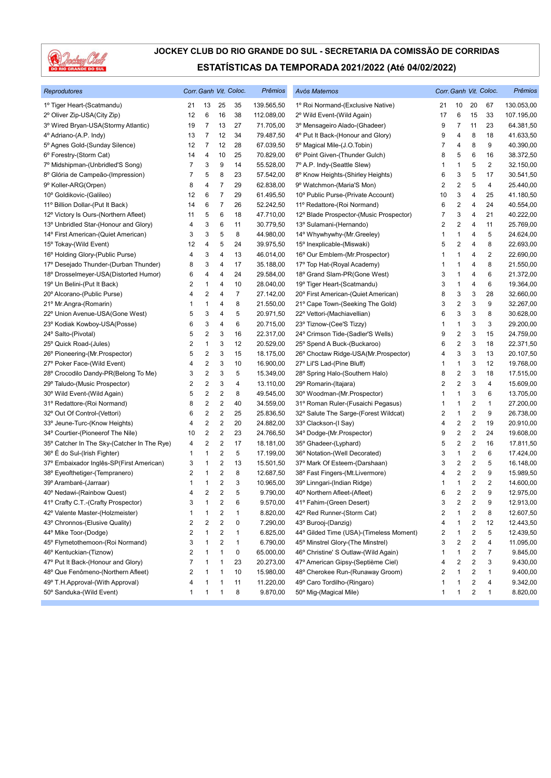

| <b>Reprodutores</b>                         |                          |                         |                         | Corr. Ganh Vit. Coloc. | <b>Prêmios</b> | Avós Maternos                           |                         |                         |                         | Corr. Ganh Vit. Coloc.  | Prêmios    |
|---------------------------------------------|--------------------------|-------------------------|-------------------------|------------------------|----------------|-----------------------------------------|-------------------------|-------------------------|-------------------------|-------------------------|------------|
| 1º Tiger Heart-(Scatmandu)                  | 21                       | 13                      | 25                      | 35                     | 139.565,50     | 1º Roi Normand-(Exclusive Native)       | 21                      | 10                      | 20                      | 67                      | 130.053,00 |
| 2º Oliver Zip-USA(City Zip)                 | 12                       | 6                       | 16                      | 38                     | 112.089,00     | 2º Wild Event-(Wild Again)              | 17                      | 6                       | 15                      | 33                      | 107.195,00 |
| 3º Wired Bryan-USA(Stormy Atlantic)         | 19                       | 7                       | 13                      | 27                     | 71.705,00      | 3º Mensageiro Alado-(Ghadeer)           | 9                       | $\overline{7}$          | 11                      | 23                      | 64.381,50  |
| 4º Adriano-(A.P. Indy)                      | 13                       | 7                       | 12                      | 34                     | 79.487,50      | 4º Put It Back-(Honour and Glory)       | 9                       | 4                       | 8                       | 18                      | 41.633,50  |
| 5° Agnes Gold-(Sunday Silence)              | 12                       | 7                       | 12                      | 28                     | 67.039,50      | 5° Magical Mile-(J.O.Tobin)             | 7                       | 4                       | 8                       | 9                       | 40.390,00  |
| 6° Forestry-(Storm Cat)                     | 14                       | 4                       | 10                      | 25                     | 70.829,00      | 6° Point Given-(Thunder Gulch)          | 8                       | 5                       | 6                       | 16                      | 38.372,50  |
| 7º Midshipman-(Unbridled'S Song)            | 7                        | 3                       | 9                       | 14                     | 55.528,00      | 7º A.P. Indy-(Seattle Slew)             | 1                       | $\mathbf{1}$            | 5                       | $\overline{2}$          | 32.150,00  |
| 8º Glória de Campeão-(Impression)           | 7                        | 5                       | 8                       | 23                     | 57.542,00      | 8º Know Heights-(Shirley Heights)       | 6                       | 3                       | 5                       | 17                      | 30.541,50  |
| 9° Koller-ARG(Orpen)                        | 8                        | 4                       | 7                       | 29                     | 62.838,00      | 9° Watchmon-(Maria'S Mon)               | 2                       | 2                       | 5                       | 4                       | 25.440,00  |
| 10° Goldikovic-(Galileo)                    | 12                       | 6                       | 7                       | 29                     | 61.495,50      | 10° Public Purse-(Private Account)      | 10                      | 3                       | 4                       | 25                      | 41.180,50  |
| 11º Billion Dollar-(Put It Back)            | 14                       | 6                       | $\overline{7}$          | 26                     | 52.242,50      | 11º Redattore-(Roi Normand)             | 6                       | 2                       | 4                       | 24                      | 40.554,00  |
| 12º Victory Is Ours-(Northern Afleet)       | 11                       | 5                       | 6                       | 18                     | 47.710,00      | 12º Blade Prospector-(Music Prospector) | 7                       | 3                       | 4                       | 21                      | 40.222,00  |
| 13º Unbridled Star-(Honour and Glory)       | 4                        | 3                       | 6                       | 11                     | 30.779,50      | 13º Sulamani-(Hernando)                 | 2                       | 2                       | 4                       | 11                      | 25.769,00  |
| 14° First American-(Quiet American)         | 3                        | 3                       | 5                       | 8                      | 44.980,00      | 14° Whywhywhy-(Mr.Greeley)              | 1                       | 1                       | 4                       | 5                       | 24.624,00  |
| 15° Tokay-(Wild Event)                      | 12                       | 4                       | 5                       | 24                     | 39.975,50      | 15° Inexplicable-(Miswaki)              | 5                       | 2                       | 4                       | 8                       | 22.693,00  |
| 16° Holding Glory-(Public Purse)            | 4                        | 3                       | 4                       | 13                     | 46.014,00      | 16° Our Emblem-(Mr.Prospector)          | 1                       | 1                       | 4                       | $\overline{\mathbf{c}}$ | 22.690,00  |
| 17º Desejado Thunder-(Durban Thunder)       | 8                        | 3                       | 4                       | 17                     | 35.188,00      | 17º Top Hat-(Royal Academy)             | 1                       | 1                       | 4                       | 8                       | 21.550,00  |
| 18º Drosselmeyer-USA(Distorted Humor)       | 6                        | 4                       | 4                       | 24                     | 29.584,00      | 18° Grand Slam-PR(Gone West)            | 3                       | 1                       | 4                       | 6                       | 21.372,00  |
| 19º Un Belini-(Put It Back)                 | 2                        | 1                       | 4                       | 10                     | 28.040,00      | 19° Tiger Heart-(Scatmandu)             | 3                       | 1                       | 4                       | 6                       | 19.364,00  |
| 20° Alcorano-(Public Purse)                 | 4                        | 2                       | 4                       | 7                      | 27.142,00      | 20° First American-(Quiet American)     | 8                       | 3                       | 3                       | 28                      | 32.660,00  |
| 21º Mr.Angra-(Romarin)                      | 1                        | 1                       | 4                       | 8                      | 21.550,00      | 21° Cape Town-(Seeking The Gold)        | 3                       | 2                       | 3                       | 9                       | 32.267,00  |
| 22º Union Avenue-USA(Gone West)             | 5                        | 3                       | 4                       | 5                      | 20.971,50      | 22º Vettori-(Machiavellian)             | 6                       | 3                       | 3                       | 8                       | 30.628,00  |
| 23° Kodiak Kowboy-USA(Posse)                | 6                        | 3                       | 4                       | 6                      | 20.715,00      | 23° Tiznow-(Cee'S Tizzy)                | 1                       | 1                       | 3                       | 3                       | 29.200,00  |
| 24° Salto-(Pivotal)                         | 5                        | 2                       | 3                       | 16                     | 22.317,00      | 24° Crimson Tide-(Sadler'S Wells)       | 9                       | 2                       | 3                       | 15                      | 24.759,00  |
| 25° Quick Road-(Jules)                      | 2                        | 1                       | 3                       | 12                     | 20.529,00      | 25° Spend A Buck-(Buckaroo)             | 6                       | 2                       | 3                       | 18                      | 22.371,50  |
| 26° Pioneering-(Mr.Prospector)              | 5                        | 2                       | 3                       | 15                     | 18.175,00      | 26° Choctaw Ridge-USA(Mr.Prospector)    | 4                       | 3                       | 3                       | 13                      | 20.107,50  |
| 27° Poker Face-(Wild Event)                 | 4                        | 2                       | 3                       | 10                     | 16.900,00      | 27° Lil'S Lad-(Pine Bluff)              | 1                       | $\mathbf{1}$            | 3                       | 12                      | 19.768,00  |
| 28° Crocodilo Dandy-PR(Belong To Me)        | 3                        | 2                       | 3                       | 5                      | 15.349,00      | 28° Spring Halo-(Southern Halo)         | 8                       | $\overline{\mathbf{c}}$ | 3                       | 18                      | 17.515,00  |
| 29° Taludo-(Music Prospector)               | 2                        | 2                       | 3                       | 4                      | 13.110,00      | 29° Romarin-(Itajara)                   | 2                       | 2                       | 3                       | 4                       | 15.609,00  |
| 30° Wild Event-(Wild Again)                 | 5                        | 2                       | 2                       | 8                      | 49.545,00      | 30° Woodman-(Mr.Prospector)             | 1                       | 1                       | 3                       | 6                       | 13.705,00  |
| 31º Redattore-(Roi Normand)                 | 8                        | 2                       | $\sqrt{2}$              | 40                     | 34.559,00      | 31º Roman Ruler-(Fusaichi Pegasus)      | 1                       | 1                       | 2                       | 1                       | 27.200,00  |
| 32° Out Of Control-(Vettori)                | 6                        | 2                       | $\sqrt{2}$              | 25                     | 25.836,50      | 32° Salute The Sarge-(Forest Wildcat)   | 2                       | $\mathbf{1}$            | 2                       | 9                       | 26.738,00  |
| 33° Jeune-Turc-(Know Heights)               | 4                        | 2                       | $\sqrt{2}$              | 20                     | 24.882,00      | 33° Clackson-(I Say)                    | 4                       | $\overline{\mathbf{c}}$ | $\overline{\mathbf{c}}$ | 19                      | 20.910,00  |
| 34° Courtier-(Pioneerof The Nile)           | 10                       | 2                       | 2                       | 23                     | 24.766,50      | 34° Dodge-(Mr.Prospector)               | 9                       | 2                       | 2                       | 24                      | 19.608,00  |
| 35° Catcher In The Sky-(Catcher In The Rye) | 4                        | 2                       | $\overline{c}$          | 17                     | 18.181,00      | 35° Ghadeer-(Lyphard)                   | 5                       | 2                       | 2                       | 16                      | 17.811,50  |
| 36° É do Sul-(Irish Fighter)                | 1                        | 1                       | 2                       | 5                      | 17.199,00      | 36° Notation-(Well Decorated)           | 3                       | $\mathbf{1}$            | 2                       | 6                       | 17.424,00  |
| 37º Embaixador Inglês-SP(First American)    | 3                        | 1                       | $\overline{2}$          | 13                     | 15.501,50      | 37º Mark Of Esteem-(Darshaan)           | 3                       | 2                       | $\boldsymbol{2}$        | 5                       | 16.148,00  |
| 38° Eyeofthetiger-(Tempranero)              | 2                        | 1                       | $\sqrt{2}$              | 8                      | 12.687,50      | 38° Fast Fingers-(Mt.Livermore)         | 4                       | 2                       | $\sqrt{2}$              | 9                       | 15.989,50  |
| 39º Arambaré-(Jarraar)                      | 1                        | 1                       | 2                       | 3                      | 10.965,00      | 39° Linngari-(Indian Ridge)             | 1                       | 1                       | 2                       | $\overline{c}$          | 14.600,00  |
| 40° Nedawi-(Rainbow Quest)                  | 4                        | 2                       | 2                       | 5                      | 9.790,00       | 40° Northern Afleet-(Afleet)            | 6                       | 2                       | 2                       | 9                       | 12.975,00  |
| 41° Crafty C.T.-(Crafty Prospector)         | 3                        | 1                       | $\sqrt{2}$              | 6                      | 9.570,00       | 41º Fahim-(Green Desert)                | 3                       | $\overline{\mathbf{c}}$ | $\sqrt{2}$              | 9                       | 12.913,00  |
| 42º Valente Master-(Holzmeister)            | 1                        | 1                       | 2                       | 1                      | 8.820,00       | 42° Red Runner-(Storm Cat)              | 2                       | 1                       | 2                       | 8                       | 12.607,50  |
| 43° Chronnos-(Elusive Quality)              | 2                        | $\overline{\mathbf{c}}$ | $\overline{\mathbf{c}}$ | 0                      | 7.290,00       | 43° Burooj-(Danzig)                     | 4                       | 1                       | 2                       | 12                      | 12.443,50  |
| 44° Mike Toor-(Dodge)                       | 2                        | 1                       | 2                       | 1                      | 6.825,00       | 44° Gilded Time (USA)-(Timeless Moment) | 2                       | 1                       | 2                       | 5                       | 12.439,50  |
| 45° Flymetothemoon-(Roi Normand)            | 3                        | 1                       | 2                       | 1                      | 6.790,00       | 45° Minstrel Glory-(The Minstrel)       | 3                       | 2                       | 2                       | 4                       | 11.095,00  |
| 46° Kentuckian-(Tiznow)                     | $\overline{\mathbf{c}}$  | 1                       | $\mathbf{1}$            | 0                      | 65.000,00      | 46° Christine' S Outlaw-(Wild Again)    | 1                       | $\mathbf{1}$            | 2                       | $\overline{7}$          | 9.845,00   |
| 47° Put It Back-(Honour and Glory)          | $\overline{\mathcal{I}}$ | 1                       | 1                       | 23                     | 20.273,00      | 47º American Gipsy-(Septième Ciel)      | 4                       | 2                       | 2                       | 3                       | 9.430,00   |
| 48° Que Fenômeno-(Northern Afleet)          | 2                        | 1                       | $\mathbf{1}$            | 10                     | 15.980,00      | 48° Cherokee Run-(Runaway Groom)        | $\overline{\mathbf{c}}$ | 1                       | $\overline{\mathbf{c}}$ | 1                       | 9.400,00   |
| 49° T.H.Approval-(With Approval)            | 4                        | 1                       | $\mathbf{1}$            | 11                     | 11.220,00      | 49° Caro Tordilho-(Ringaro)             | 1                       | 1                       | 2                       | 4                       | 9.342,00   |
| 50° Sanduka-(Wild Event)                    | 1                        | 1                       | 1                       | 8                      | 9.870,00       | 50° Mig-(Magical Mile)                  | $\mathbf{1}$            | 1                       | 2                       | $\mathbf{1}$            | 8.820,00   |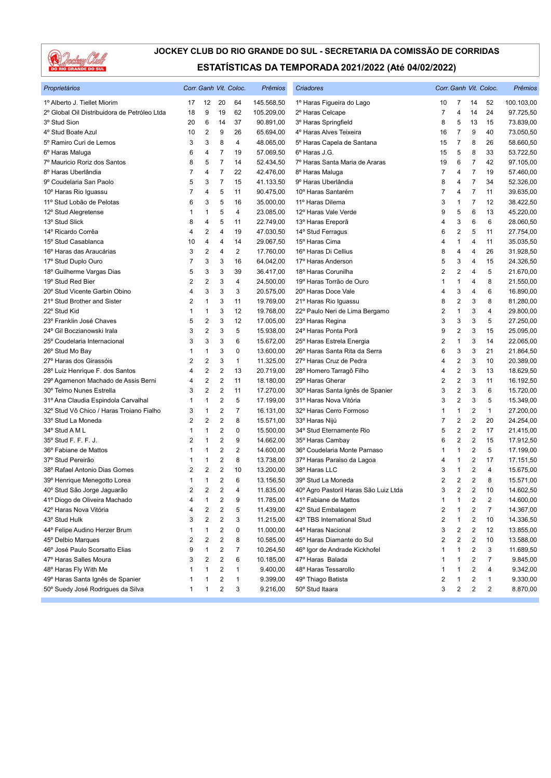

| Proprietários                                |                |                         |                | Corr. Ganh Vit. Coloc.  | Prêmios    | Criadores                             |                |                         |                | Corr. Ganh Vit. Coloc.  | Prêmios    |
|----------------------------------------------|----------------|-------------------------|----------------|-------------------------|------------|---------------------------------------|----------------|-------------------------|----------------|-------------------------|------------|
| 1º Alberto J. Tiellet Miorim                 | 17             | 12                      | 20             | 64                      | 145.568,50 | 1º Haras Figueira do Lago             | 10             | 7                       | 14             | 52                      | 100.103,00 |
| 2º Global Oil Distribuidora de Petróleo Ltda | 18             | 9                       | 19             | 62                      | 105.209,00 | 2º Haras Celcape                      | $\overline{7}$ | $\overline{4}$          | 14             | 24                      | 97.725,50  |
| 3º Stud Sion                                 | 20             | 6                       | 14             | 37                      | 90.891,00  | 3º Haras Springfield                  | 8              | 5                       | 13             | 15                      | 73.839,00  |
| 4° Stud Boate Azul                           | 10             | $\overline{\mathbf{c}}$ | 9              | 26                      | 65.694,00  | 4º Haras Alves Teixeira               | 16             | 7                       | 9              | 40                      | 73.050,50  |
| 5º Ramiro Curi de Lemos                      | 3              | 3                       | 8              | 4                       | 48.065,00  | 5º Haras Capela de Santana            | 15             | 7                       | 8              | 26                      | 58.660,50  |
| 6 <sup>°</sup> Haras Maluga                  | 6              | 4                       | $\overline{7}$ | 19                      | 57.069,50  | 6º Haras J.G.                         | 15             | 5                       | 8              | 33                      | 53.722,50  |
| 7º Mauricio Roriz dos Santos                 | 8              | 5                       | $\overline{7}$ | 14                      | 52.434,50  | 7º Haras Santa Maria de Araras        | 19             | 6                       | 7              | 42                      | 97.105,00  |
| 8º Haras Uberlândia                          | 7              | 4                       | $\overline{7}$ | 22                      | 42.476,00  | 8º Haras Maluga                       | 7              | 4                       | 7              | 19                      | 57.460,00  |
| 9º Coudelaria San Paolo                      | 5              | 3                       | $\overline{7}$ | 15                      | 41.133,50  | 9º Haras Uberlândia                   | 8              | 4                       | 7              | 34                      | 52.326,00  |
| 10° Haras Rio Iguassu                        | 7              | 4                       | 5              | 11                      | 90.475,00  | 10° Haras Santarém                    | 7              | 4                       | 7              | 11                      | 39.635,00  |
| 11º Stud Lobão de Pelotas                    | 6              | 3                       | 5              | 16                      | 35.000,00  | 11º Haras Dilema                      | 3              | 1                       | 7              | 12                      | 38.422,50  |
| 12º Stud Alegretense                         | 1              | 1                       | 5              | 4                       | 23.085,00  | 12º Haras Vale Verde                  | 9              | 5                       | 6              | 13                      | 45.220,00  |
| 13º Stud Slick                               | 8              | 4                       | 5              | 11                      | 22.749,00  | 13º Haras Ereporã                     | 4              | 3                       | 6              | 6                       | 28.060,50  |
| 14º Ricardo Corrêa                           | 4              | 2                       | 4              | 19                      | 47.030,50  | 14° Stud Ferragus                     | 6              | $\overline{2}$          | 5              | 11                      | 27.754,00  |
| 15° Stud Casablanca                          | 10             | 4                       | 4              | 14                      | 29.067,50  | 15º Haras Cima                        | 4              | $\mathbf{1}$            | 4              | 11                      | 35.035,50  |
| 16º Haras das Araucárias                     | 3              | 2                       | 4              | $\overline{c}$          | 17.760,00  | 16° Haras Di Cellius                  | 8              | 4                       | 4              | 26                      | 31.928,50  |
| 17º Stud Duplo Ouro                          | 7              | 3                       | 3              | 16                      | 64.042,00  | 17º Haras Anderson                    | 5              | 3                       | 4              | 15                      | 24.326,50  |
| 18° Guilherme Vargas Dias                    | 5              | 3                       | 3              | 39                      | 36.417,00  | 18º Haras Corunilha                   | $\overline{2}$ | $\overline{2}$          | 4              | 5                       | 21.670,00  |
| 19° Stud Red Bier                            | $\overline{2}$ | 2                       | 3              | 4                       | 24.500,00  | 19º Haras Torrão de Ouro              | 1              | 1                       | 4              | 8                       | 21.550,00  |
| 20° Stud Vicente Garbin Obino                | 4              | 3                       | 3              | 3                       | 20.575,00  | 20° Haras Doce Vale                   | 4              | 3                       | 4              | 6                       | 16.890,00  |
| 21° Stud Brother and Sister                  | 2              | 1                       | 3              | 11                      | 19.769,00  | 21º Haras Rio Iguassu                 | 8              | $\sqrt{2}$              | 3              | 8                       | 81.280,00  |
| 22° Stud Kid                                 | 1              | 1                       | 3              | 12                      | 19.768,00  | 22º Paulo Neri de Lima Bergamo        | 2              | $\mathbf{1}$            | 3              | 4                       | 29.800,00  |
| 23° Franklin José Chaves                     | 5              | 2                       | 3              | 12                      | 17.005,00  | 23º Haras Regina                      | 3              | 3                       | 3              | 5                       | 27.250,00  |
| 24° Gil Boczianowski Irala                   | 3              | 2                       | 3              | 5                       | 15.938,00  | 24º Haras Ponta Porã                  | 9              | $\overline{2}$          | 3              | 15                      | 25.095,00  |
| 25° Coudelaria Internacional                 | 3              | 3                       | 3              | 6                       | 15.672,00  | 25° Haras Estrela Energia             | 2              | $\mathbf{1}$            | 3              | 14                      | 22.065,00  |
| 26° Stud Mo Bay                              | 1              | 1                       | 3              | 0                       | 13.600,00  | 26° Haras Santa Rita da Serra         | 6              | 3                       | 3              | 21                      | 21.864,50  |
| 27º Haras dos Girassóis                      | $\overline{2}$ | 2                       | 3              | 1                       | 11.325,00  | 27º Haras Cruz de Pedra               | 4              | $\overline{2}$          | 3              | 10                      | 20.389,00  |
| 28° Luiz Henrique F. dos Santos              | 4              | 2                       | 2              | 13                      | 20.719,00  | 28° Homero Tarragô Filho              | 4              | $\overline{\mathbf{c}}$ | 3              | 13                      | 18.629,50  |
| 29º Agamenon Machado de Assis Berni          | 4              | 2                       | $\overline{c}$ | 11                      | 18.180,00  | 29° Haras Gherar                      | 2              | $\overline{2}$          | 3              | 11                      | 16.192,50  |
| 30° Telmo Nunes Estrella                     | 3              | 2                       | $\overline{2}$ | 11                      | 17.270,00  | 30° Haras Santa Ignês de Spanier      | 3              | $\overline{\mathbf{c}}$ | 3              | 6                       | 15.720,00  |
| 31º Ana Claudia Espindola Carvalhal          | 1              | 1                       | $\overline{2}$ | 5                       | 17.199,00  | 31º Haras Nova Vitória                | 3              | $\overline{2}$          | 3              | 5                       | 15.349,00  |
| 32º Stud Vô Chico / Haras Troiano Fialho     | 3              | 1                       | $\overline{c}$ | $\overline{7}$          | 16.131,00  | 32º Haras Cerro Formoso               | 1              | 1                       | 2              | $\mathbf{1}$            | 27.200,00  |
| 33° Stud La Moneda                           | 2              | 2                       | 2              | 8                       | 15.571,00  | 33º Haras Nijú                        | 7              | $\overline{2}$          | 2              | 20                      | 24.254,00  |
| 34° Stud A M L                               | 1              | 1                       | 2              | 0                       | 15.500,00  | 34° Stud Eternamente Rio              | 5              | $\overline{2}$          | $\overline{c}$ | 17                      | 21.415,00  |
| 35° Stud F. F. F. J.                         | 2              | 1                       | $\overline{c}$ | 9                       | 14.662,00  | 35° Haras Cambay                      | 6              | $\overline{2}$          | 2              | 15                      | 17.912,50  |
| 36° Fabiane de Mattos                        | 1              | 1                       | $\overline{c}$ | $\overline{2}$          | 14.600,00  | 36° Coudelaria Monte Parnaso          | 1              | $\mathbf{1}$            | 2              | 5                       | 17.199,00  |
| 37º Stud Pereirão                            | 1              | 1                       | $\overline{c}$ | 8                       | 13.738,00  | 37º Haras Paraiso da Lagoa            | 4              | 1                       | 2              | 17                      | 17.151,50  |
| 38° Rafael Antonio Dias Gomes                | $\overline{2}$ | 2                       | $\overline{2}$ | 10                      | 13.200,00  | 38º Haras LLC                         | 3              | $\mathbf{1}$            | 2              | 4                       | 15.675,00  |
| 39º Henrique Menegotto Lorea                 | 1              | 1                       | $\overline{c}$ | 6                       | 13.156,50  | 39° Stud La Moneda                    | $\overline{2}$ | $\overline{2}$          | $\overline{c}$ | 8                       | 15.571,00  |
| 40° Stud São Jorge Jaguarão                  | $\overline{2}$ | 2                       | $\overline{2}$ | $\overline{\mathbf{4}}$ | 11.835,00  | 40° Agro Pastoril Haras São Luiz Ltda | 3              | $\overline{2}$          | 2              | 10                      | 14.602,50  |
| 41º Diogo de Oliveira Machado                | 4              | 1                       | 2              | 9                       | 11.785,00  | 41º Fabiane de Mattos                 | 1              | 1                       | 2              | 2                       | 14.600,00  |
| 42º Haras Nova Vitória                       | 4              | 2                       | 2              | 5                       | 11.439,00  | 42° Stud Embalagem                    | 2              | 1                       | 2              | $\overline{7}$          | 14.367,00  |
| 43° Stud Hulk                                | 3              | 2                       | 2              | 3                       | 11.215,00  | 43° TBS International Stud            | 2              | 1                       | 2              | 10                      | 14.336,50  |
| 44° Felipe Audino Herzer Brum                |                | 1                       | 2              | 0                       | 11.000,00  | 44° Haras Nacional                    | 3              | 2                       | 2              | 12                      | 13.855,00  |
| 45° Delbio Marques                           | 2              | 2                       | 2              | 8                       | 10.585,00  | 45° Haras Diamante do Sul             | 2              | $\overline{\mathbf{c}}$ | 2              | 10                      | 13.588,00  |
| 46° José Paulo Scorsatto Elias               | 9              | 1                       | 2              | 7                       | 10.264,50  | 46° Igor de Andrade Kickhofel         | 1              | 1                       | 2              | 3                       | 11.689,50  |
| 47º Haras Salles Moura                       | 3              | 2                       | 2              | 6                       | 10.185,00  | 47º Haras Balada                      | 1              | 1                       | 2              | $\overline{7}$          | 9.845,00   |
| 48° Haras Fly With Me                        | 1              | 1                       | 2              | 1                       | 9.400,00   | 48° Haras Tessarollo                  | 1              | 1                       | 2              | 4                       | 9.342,00   |
| 49º Haras Santa Ignês de Spanier             |                | 1                       | 2              | 1                       | 9.399,00   | 49° Thiago Batista                    | 2              | 1                       | 2              | 1                       | 9.330,00   |
| 50° Suedy José Rodrigues da Silva            | $\mathbf{1}$   | 1                       | 2              | 3                       | 9.216,00   | 50° Stud Itaara                       | 3              | $\overline{\mathbf{c}}$ | 2              | $\overline{\mathbf{c}}$ | 8.870,00   |
|                                              |                |                         |                |                         |            |                                       |                |                         |                |                         |            |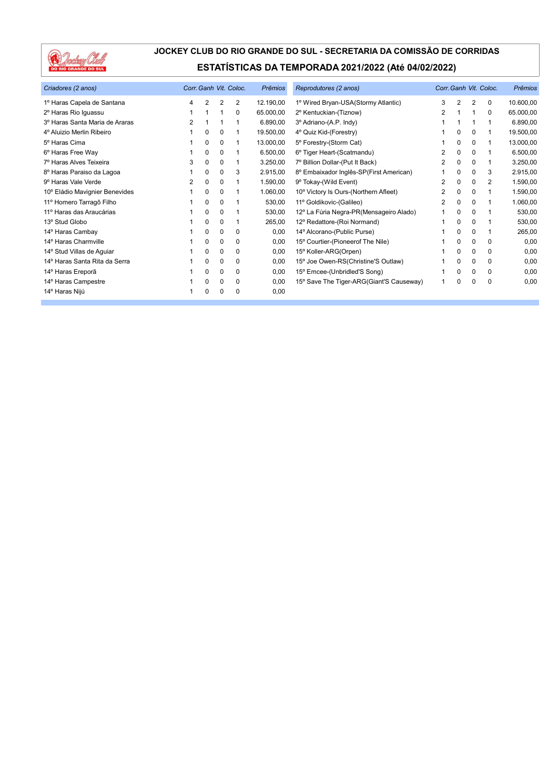

| Criadores (2 anos)             | Corr. Ganh Vit. Coloc. |          |          |             | Prêmios   | Reprodutores (2 anos)                    | Corr. Ganh Vit. Coloc. |          |             |             | <b>Prêmios</b> |
|--------------------------------|------------------------|----------|----------|-------------|-----------|------------------------------------------|------------------------|----------|-------------|-------------|----------------|
| 1º Haras Capela de Santana     | 4                      | 2        | 2        | 2           | 12.190,00 | 1º Wired Bryan-USA(Stormy Atlantic)      | 3                      | 2        | 2           | $\mathbf 0$ | 10.600,00      |
| 2º Haras Rio Iguassu           |                        |          | 1        | 0           | 65.000,00 | 2º Kentuckian-(Tiznow)                   | 2                      |          |             | $\Omega$    | 65.000,00      |
| 3º Haras Santa Maria de Araras | 2                      |          |          |             | 6.890,00  | 3º Adriano-(A.P. Indy)                   |                        |          |             |             | 6.890,00       |
| 4º Aluizio Merlin Ribeiro      |                        | 0        | 0        |             | 19.500,00 | 4° Quiz Kid-(Forestry)                   |                        | $\Omega$ | $\Omega$    | 1           | 19.500,00      |
| 5 <sup>°</sup> Haras Cima      |                        | 0        | 0        |             | 13.000,00 | 5° Forestry-(Storm Cat)                  |                        | $\Omega$ | 0           |             | 13.000,00      |
| 6º Haras Free Way              |                        | $\Omega$ | $\Omega$ |             | 6.500,00  | 6° Tiger Heart-(Scatmandu)               | 2                      | 0        | $\Omega$    |             | 6.500,00       |
| 7º Haras Alves Teixeira        | 3                      | $\Omega$ | 0        |             | 3.250,00  | 7º Billion Dollar-(Put It Back)          | 2                      | 0        | 0           | 1           | 3.250,00       |
| 8º Haras Paraiso da Lagoa      |                        | 0        | 0        | 3           | 2.915,00  | 8º Embaixador Inglês-SP(First American)  |                        | 0        | 0           | 3           | 2.915,00       |
| 9º Haras Vale Verde            | 2                      | 0        | 0        |             | 1.590,00  | 9º Tokay-(Wild Event)                    | 2                      | $\Omega$ | 0           | 2           | 1.590,00       |
| 10° Eládio Mavignier Benevides |                        | 0        | 0        |             | 1.060,00  | 10° Victory Is Ours-(Northern Afleet)    | 2                      | 0        | $\Omega$    | 1           | 1.590,00       |
| 11º Homero Tarragô Filho       |                        | 0        | 0        |             | 530,00    | 11º Goldikovic-(Galileo)                 | 2                      | 0        | 0           |             | 1.060,00       |
| 11º Haras das Araucárias       |                        | 0        | $\Omega$ |             | 530,00    | 12º La Fúria Negra-PR(Mensageiro Alado)  |                        | 0        | 0           |             | 530,00         |
| 13º Stud Globo                 |                        | 0        | 0        |             | 265,00    | 12º Redattore-(Roi Normand)              |                        | 0        | $\Omega$    |             | 530,00         |
| 14° Haras Cambay               |                        | 0        | 0        | 0           | 0,00      | 14º Alcorano-(Public Purse)              |                        | 0        | 0           |             | 265,00         |
| 14º Haras Charmville           |                        | 0        | 0        | $\mathbf 0$ | 0,00      | 15° Courtier-(Pioneerof The Nile)        |                        | 0        | $\Omega$    | $\Omega$    | 0,00           |
| 14° Stud Villas de Aguiar      |                        | 0        | 0        | 0           | 0,00      | 15° Koller-ARG(Orpen)                    |                        | $\Omega$ | $\Omega$    | $\Omega$    | 0,00           |
| 14º Haras Santa Rita da Serra  |                        | 0        | 0        | 0           | 0,00      | 15° Joe Owen-RS(Christine'S Outlaw)      |                        | 0        | $\mathbf 0$ | $\mathbf 0$ | 0,00           |
| 14º Haras Ereporã              |                        | 0        | 0        | 0           | 0,00      | 15° Emcee-(Unbridled'S Song)             |                        | 0        | $\Omega$    | $\Omega$    | 0,00           |
| 14º Haras Campestre            |                        | 0        | 0        | 0           | 0,00      | 15° Save The Tiger-ARG(Giant'S Causeway) |                        | 0        | $\Omega$    | $\Omega$    | 0,00           |
| 14º Haras Nijú                 |                        | 0        | 0        | 0           | 0,00      |                                          |                        |          |             |             |                |